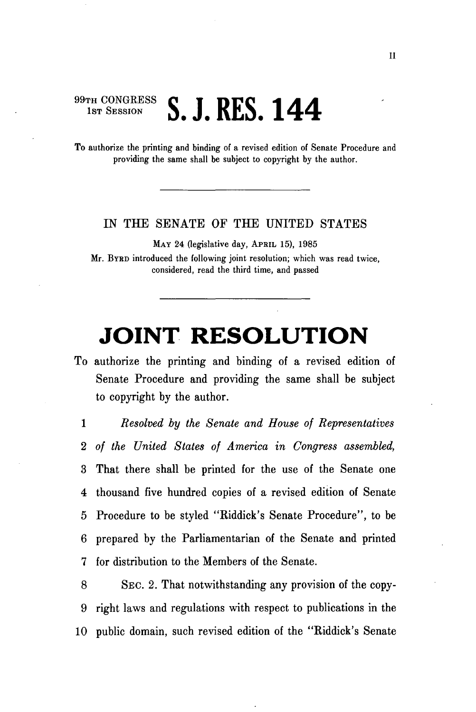## 99TH CONGRESS **C T DFC 144 D. A. ITHD. ITT**

To authorize the printing and binding of a revised edition of Senate Procedure and providing the same shall be subject to copyright by the author.

## IN THE SENATE OF THE UNITED STATES

MAY 24 (legislative day, APRIL 15), 1985 Mr. BYRD introduced the following joint resolution; which was read twice, considered, read the third time, and passed

## **JOINT RESOLUTION**

To authorize the printing and binding of a revised edition of Senate Procedure and providing the same shall be subject to copyright by the author.

1 *Resolved by the Senate and House of Representatives*  2 *of the United States of America in Congress assembled,*  3 That there shall be printed for the use of the Senate one 4 thousand five hundred copies of a revised edition of Senate 5 Procedure to be styled "Biddick's Senate Procedure", to be 6 prepared by the Parliamentarian of the Senate and printed 7 for distribution to the Members of the Senate.

8 SEC. 2. That notwithstanding any provision of the copy-9 right laws and regulations with respect to publications in the 10 public domain, such revised edition of the "Kiddick's Senate